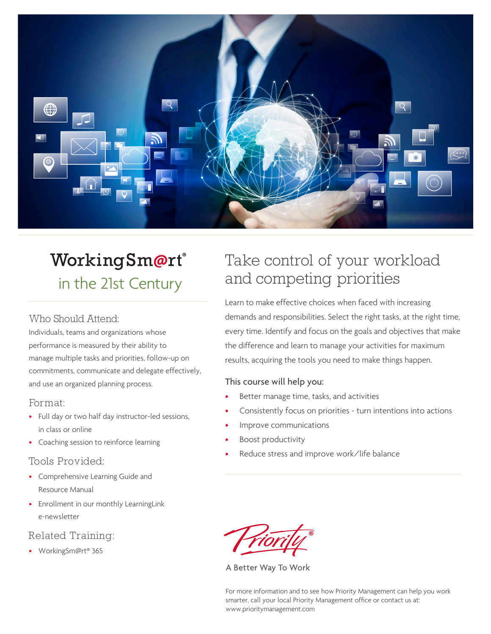

# WorkingSm@rt® in the 21st Century

#### Who Should Attend:

Individuals, teams and organizations whose performance is measured by their ability to manage multiple tasks and priorities, follow-up on commitments, communicate and delegate effectively, and use an organized planning process.

#### Format:

- Full day or two half day instructor-led sessions, in class or online
- Coaching session to reinforce learning

# Tools Provided:

- Comprehensive Learning Guide and Resource Manual
- Enrollment in our monthly LearningLink e-newsletter

# Related Training:

• WorkingSm@rt® 365

# Take control of your workload and competing priorities

Learn to make effective choices when faced with increasing demands and responsibilities. Select the right tasks, at the right time, every time. Identify and focus on the goals and objectives that make the difference and learn to manage your activities for maximum results, acquiring the tools you need to make things happen.

#### This course will help you:

- Better manage time, tasks, and activities
- Consistently focus on priorities turn intentions into actions
- Improve communications
- Boost productivity
- Reduce stress and improve work/life balance

A Better Way To Work

For more information and to see how Priority Management can help you work smarter, call your local Priority Management office or contact us at: www.prioritymanagement.com